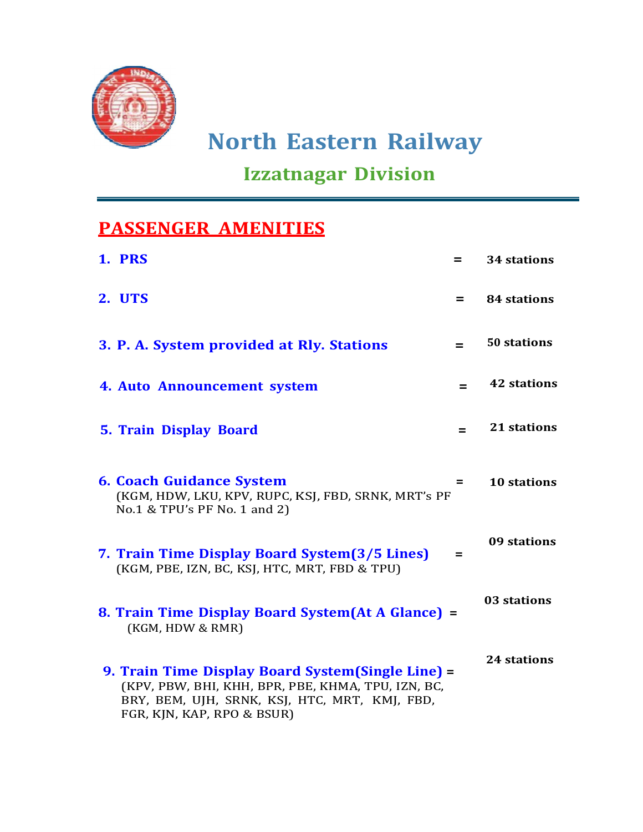

## Izzatnagar Division

## PASSENGER AMENITIES

| <b>1. PRS</b>                                                                                                                                                                           | $=$ | 34 stations        |
|-----------------------------------------------------------------------------------------------------------------------------------------------------------------------------------------|-----|--------------------|
| 2. UTS                                                                                                                                                                                  | $=$ | <b>84 stations</b> |
| 3. P. A. System provided at Rly. Stations                                                                                                                                               | $=$ | 50 stations        |
| 4. Auto Announcement system                                                                                                                                                             |     | <b>42 stations</b> |
| <b>5. Train Display Board</b>                                                                                                                                                           | $=$ | 21 stations        |
| <b>6. Coach Guidance System</b><br>(KGM, HDW, LKU, KPV, RUPC, KSJ, FBD, SRNK, MRT's PF<br>No.1 & TPU's PF No. 1 and 2)                                                                  | =   | <b>10 stations</b> |
| 7. Train Time Display Board System(3/5 Lines)<br>(KGM, PBE, IZN, BC, KSJ, HTC, MRT, FBD & TPU)                                                                                          | $=$ | 09 stations        |
| 8. Train Time Display Board System(At A Glance) =<br>(KGM, HDW & RMR)                                                                                                                   |     | 03 stations        |
| 9. Train Time Display Board System (Single Line) =<br>(KPV, PBW, BHI, KHH, BPR, PBE, KHMA, TPU, IZN, BC,<br>BRY, BEM, UJH, SRNK, KSJ, HTC, MRT, KMJ, FBD,<br>FGR, KJN, KAP, RPO & BSUR) |     | <b>24 stations</b> |